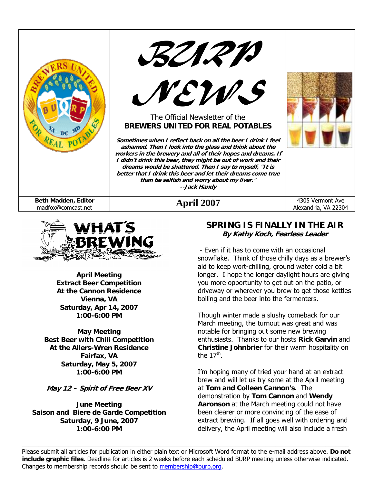





#### The Official Newsletter of the **BREWERS UNITED FOR REAL POTABLES**

**Sometimes when I reflect back on all the beer I drink I feel ashamed. Then I look into the glass and think about the workers in the brewery and all of their hopes and dreams. If I didn't drink this beer, they might be out of work and their dreams would be shattered. Then I say to myself, "It is better that I drink this beer and let their dreams come true than be selfish and worry about my liver." --Jack Handy** 

**Beth Madden, Editor Pril 2007** 4305 Vermont Ave and the madfox@comcast.net **April 2007** 4305 Vermont Ave 4305 Vermont Ave and the madfox



**April Meeting Extract Beer Competition At the Cannon Residence Vienna, VA Saturday, Apr 14, 2007 1:00-6:00 PM** 

**May Meeting Best Beer with Chili Competition At the Allers-Wren Residence Fairfax, VA Saturday, May 5, 2007 1:00-6:00 PM** 

**May 12 – Spirit of Free Beer XV** 

**June Meeting Saison and Biere de Garde Competition Saturday, 9 June, 2007 1:00-6:00 PM** 

#### **SPRING IS FINALLY IN THE AIR By Kathy Koch, Fearless Leader**

Alexandria, VA 22304

 - Even if it has to come with an occasional snowflake. Think of those chilly days as a brewer's aid to keep wort-chilling, ground water cold a bit longer. I hope the longer daylight hours are giving you more opportunity to get out on the patio, or driveway or wherever you brew to get those kettles boiling and the beer into the fermenters.

Though winter made a slushy comeback for our March meeting, the turnout was great and was notable for bringing out some new brewing enthusiasts. Thanks to our hosts **Rick Garvin** and **Christine Johnbrier** for their warm hospitality on the  $17<sup>th</sup>$ .

I'm hoping many of tried your hand at an extract brew and will let us try some at the April meeting at **Tom and Colleen Cannon's**. The demonstration by **Tom Cannon** and **Wendy Aaronson** at the March meeting could not have been clearer or more convincing of the ease of extract brewing. If all goes well with ordering and delivery, the April meeting will also include a fresh

Please submit all articles for publication in either plain text or Microsoft Word format to the e-mail address above. **Do not include graphic files**. Deadline for articles is 2 weeks before each scheduled BURP meeting unless otherwise indicated. Changes to membership records should be sent to membership@burp.org.

 $\_$  , and the state of the state of the state of the state of the state of the state of the state of the state of the state of the state of the state of the state of the state of the state of the state of the state of the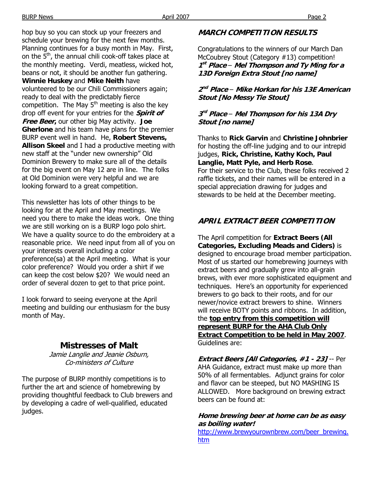hop buy so you can stock up your freezers and schedule your brewing for the next few months. Planning continues for a busy month in May. First, on the  $5<sup>th</sup>$ , the annual chili cook-off takes place at the monthly meeting. Verdi, meatless, wicked hot, beans or not, it should be another fun gathering. **Winnie Huskey** and **Mike Neith** have volunteered to be our Chili Commissioners again; ready to deal with the predictably fierce competition. The May  $5<sup>th</sup>$  meeting is also the key drop off event for your entries for the **Spirit of Free Beer,** our other big May activity. **Joe Gherlone** and his team have plans for the premier BURP event well in hand. He, **Robert Stevens, Allison Skeel** and I had a productive meeting with new staff at the "under new ownership" Old Dominion Brewery to make sure all of the details for the big event on May 12 are in line. The folks at Old Dominion were very helpful and we are looking forward to a great competition.

This newsletter has lots of other things to be looking for at the April and May meetings. We need you there to make the ideas work. One thing we are still working on is a BURP logo polo shirt. We have a quality source to do the embroidery at a reasonable price. We need input from all of you on your interests overall including a color preference(sa) at the April meeting. What is your color preference? Would you order a shirt if we can keep the cost below \$20? We would need an order of several dozen to get to that price point.

I look forward to seeing everyone at the April meeting and building our enthusiasm for the busy month of May.

#### **Mistresses of Malt**

Jamie Langlie and Jeanie Osburn, Co-ministers of Culture

The purpose of BURP monthly competitions is to further the art and science of homebrewing by providing thoughtful feedback to Club brewers and by developing a cadre of well-qualified, educated judges.

#### **MARCH COMPETITION RESULTS**

Congratulations to the winners of our March Dan McCoubrey Stout (Category #13) competition! **<sup>1</sup>st Place** – **Mel Thompson and Ty Ming for a 13D Foreign Extra Stout [no name]** 

**<sup>2</sup>nd Place** – **Mike Horkan for his 13E American Stout [No Messy Tie Stout]** 

#### **<sup>3</sup>rd Place** – **Mel Thompson for his 13A Dry Stout [no name]**

Thanks to **Rick Garvin** and **Christine Johnbrier** for hosting the off-line judging and to our intrepid judges, **Rick, Christine, Kathy Koch, Paul Langlie, Matt Pyle, and Herb Rose**. For their service to the Club, these folks received 2 raffle tickets, and their names will be entered in a special appreciation drawing for judges and stewards to be held at the December meeting.

### **APRIL EXTRACT BEER COMPETITION**

The April competition for **Extract Beers (All Categories, Excluding Meads and Ciders)** is designed to encourage broad member participation. Most of us started our homebrewing journeys with extract beers and gradually grew into all-grain brews, with ever more sophisticated equipment and techniques. Here's an opportunity for experienced brewers to go back to their roots, and for our newer/novice extract brewers to shine. Winners will receive BOTY points and ribbons. In addition, the **top entry from this competition will represent BURP for the AHA Club Only Extract Competition to be held in May 2007**. Guidelines are:

**Extract Beers [All Categories, #1 - 23]** -- Per AHA Guidance, extract must make up more than 50% of all fermentables. Adjunct grains for color and flavor can be steeped, but NO MASHING IS ALLOWED. More background on brewing extract beers can be found at:

#### **Home brewing beer at home can be as easy as boiling water!**

http://www.brewyourownbrew.com/beer\_brewing. htm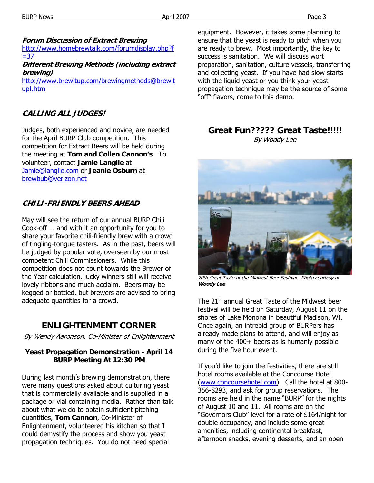**Forum Discussion of Extract Brewing** 

http://www.homebrewtalk.com/forumdisplay.php?f  $= 37$ 

**Different Brewing Methods (including extract brewing)** 

http://www.brewitup.com/brewingmethods@brewit up!.htm

#### **CALLING ALL JUDGES!**

Judges, both experienced and novice, are needed for the April BURP Club competition. This competition for Extract Beers will be held during the meeting at **Tom and Collen Cannon's**. To volunteer, contact **Jamie Langlie** at Jamie@langlie.com or **Jeanie Osburn** at brewbub@verizon.net

#### **CHILI-FRIENDLY BEERS AHEAD**

May will see the return of our annual BURP Chili Cook-off … and with it an opportunity for you to share your favorite chili-friendly brew with a crowd of tingling-tongue tasters. As in the past, beers will be judged by popular vote, overseen by our most competent Chili Commissioners. While this competition does not count towards the Brewer of the Year calculation, lucky winners still will receive lovely ribbons and much acclaim. Beers may be kegged or bottled, but brewers are advised to bring adequate quantities for a crowd.

## **ENLIGHTENMENT CORNER**

By Wendy Aaronson, Co-Minister of Enlightenment

#### **Yeast Propagation Demonstration - April 14 BURP Meeting At 12:30 PM**

During last month's brewing demonstration, there were many questions asked about culturing yeast that is commercially available and is supplied in a package or vial containing media. Rather than talk about what we do to obtain sufficient pitching quantities, **Tom Cannon**, Co-Minister of Enlightenment, volunteered his kitchen so that I could demystify the process and show you yeast propagation techniques. You do not need special

equipment. However, it takes some planning to ensure that the yeast is ready to pitch when you are ready to brew. Most importantly, the key to success is sanitation. We will discuss wort preparation, sanitation, culture vessels, transferring and collecting yeast. If you have had slow starts with the liquid yeast or you think your yeast propagation technique may be the source of some "off" flavors, come to this demo.

#### **Great Fun????? Great Taste!!!!!**  By Woody Lee



20th Great Taste of the Midwest Beer Festival. Photo courtesy of **Woody Lee** 

The 21<sup>st</sup> annual Great Taste of the Midwest beer festival will be held on Saturday, August 11 on the shores of Lake Monona in beautiful Madison, WI. Once again, an intrepid group of BURPers has already made plans to attend, and will enjoy as many of the 400+ beers as is humanly possible during the five hour event.

If you'd like to join the festivities, there are still hotel rooms available at the Concourse Hotel (www.concoursehotel.com). Call the hotel at 800- 356-8293, and ask for group reservations. The rooms are held in the name "BURP" for the nights of August 10 and 11. All rooms are on the "Governors Club" level for a rate of \$164/night for double occupancy, and include some great amenities, including continental breakfast, afternoon snacks, evening desserts, and an open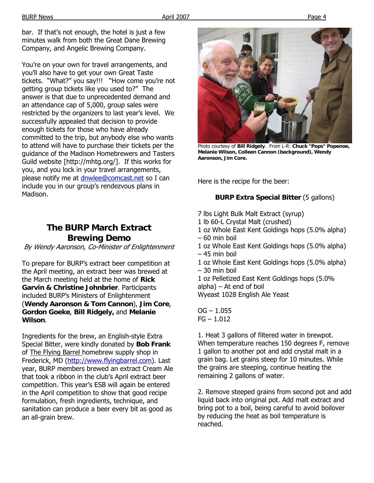bar. If that's not enough, the hotel is just a few minutes walk from both the Great Dane Brewing Company, and Angelic Brewing Company.

You're on your own for travel arrangements, and you'll also have to get your own Great Taste tickets. "What?" you say!!! "How come you're not getting group tickets like you used to?" The answer is that due to unprecedented demand and an attendance cap of 5,000, group sales were restricted by the organizers to last year's level. We successfully appealed that decision to provide enough tickets for those who have already committed to the trip, but anybody else who wants to attend will have to purchase their tickets per the guidance of the Madison Homebrewers and Tasters Guild website [http://mhtg.org/]. If this works for you, and you lock in your travel arrangements, please notify me at dnwlee@comcast.net so I can include you in our group's rendezvous plans in Madison.

## **The BURP March Extract Brewing Demo**

By Wendy Aaronson, Co-Minister of Enlightenment

To prepare for BURP's extract beer competition at the April meeting, an extract beer was brewed at the March meeting held at the home of **Rick Garvin & Christine Johnbrier**. Participants included BURP's Ministers of Enlightenment (**Wendy Aaronson & Tom Cannon**), **Jim Core**, **Gordon Goeke**, **Bill Ridgely,** and **Melanie Wilson**.

Ingredients for the brew, an English-style Extra Special Bitter, were kindly donated by **Bob Frank** of The Flying Barrel homebrew supply shop in Frederick, MD (http://www.flyingbarrel.com). Last year, BURP members brewed an extract Cream Ale that took a ribbon in the club's April extract beer competition. This year's ESB will again be entered in the April competition to show that good recipe formulation, fresh ingredients, technique, and sanitation can produce a beer every bit as good as an all-grain brew.



Photo courtesy of **Bill Ridgely**. From L-R: **Chuck "Pops" Popenoe, Melanie Wilson, Colleen Cannon (background), Wendy Aaronson, Jim Core.** 

Here is the recipe for the beer:

#### **BURP Extra Special Bitter** (5 gallons)

- 7 lbs Light Bulk Malt Extract (syrup)
- 1 lb 60-L Crystal Malt (crushed)
- 1 oz Whole East Kent Goldings hops (5.0% alpha) – 60 min boil
- 1 oz Whole East Kent Goldings hops (5.0% alpha) – 45 min boil
- 1 oz Whole East Kent Goldings hops (5.0% alpha) – 30 min boil
- 1 oz Pelletized East Kent Goldings hops (5.0%  $alpha)$  – At end of boil
- Wyeast 1028 English Ale Yeast
- $OG 1.055$  $FG - 1.012$

1. Heat 3 gallons of filtered water in brewpot. When temperature reaches 150 degrees F, remove 1 gallon to another pot and add crystal malt in a grain bag. Let grains steep for 10 minutes. While the grains are steeping, continue heating the remaining 2 gallons of water.

2. Remove steeped grains from second pot and add liquid back into original pot. Add malt extract and bring pot to a boil, being careful to avoid boilover by reducing the heat as boil temperature is reached.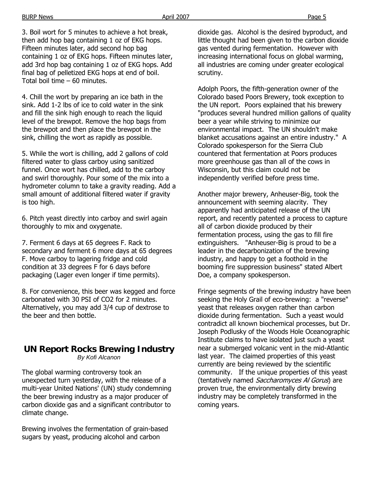BURP News Page 5

3. Boil wort for 5 minutes to achieve a hot break, then add hop bag containing 1 oz of EKG hops. Fifteen minutes later, add second hop bag containing 1 oz of EKG hops. Fifteen minutes later, add 3rd hop bag containing 1 oz of EKG hops. Add final bag of pelletized EKG hops at end of boil. Total boil time – 60 minutes.

4. Chill the wort by preparing an ice bath in the sink. Add 1-2 lbs of ice to cold water in the sink and fill the sink high enough to reach the liquid level of the brewpot. Remove the hop bags from the brewpot and then place the brewpot in the sink, chilling the wort as rapidly as possible.

5. While the wort is chilling, add 2 gallons of cold filtered water to glass carboy using sanitized funnel. Once wort has chilled, add to the carboy and swirl thoroughly. Pour some of the mix into a hydrometer column to take a gravity reading. Add a small amount of additional filtered water if gravity is too high.

6. Pitch yeast directly into carboy and swirl again thoroughly to mix and oxygenate.

7. Ferment 6 days at 65 degrees F. Rack to secondary and ferment 6 more days at 65 degrees F. Move carboy to lagering fridge and cold condition at 33 degrees F for 6 days before packaging (Lager even longer if time permits).

8. For convenience, this beer was kegged and force carbonated with 30 PSI of CO2 for 2 minutes. Alternatively, you may add 3/4 cup of dextrose to the beer and then bottle.

# **UN Report Rocks Brewing Industry**

*By Kofi Alcanon* 

The global warming controversy took an unexpected turn yesterday, with the release of a multi-year United Nations' (UN) study condemning the beer brewing industry as a major producer of carbon dioxide gas and a significant contributor to climate change.

Brewing involves the fermentation of grain-based sugars by yeast, producing alcohol and carbon

dioxide gas. Alcohol is the desired byproduct, and little thought had been given to the carbon dioxide gas vented during fermentation. However with increasing international focus on global warming, all industries are coming under greater ecological scrutiny.

Adolph Poors, the fifth-generation owner of the Colorado based Poors Brewery, took exception to the UN report. Poors explained that his brewery "produces several hundred million gallons of quality beer a year while striving to minimize our environmental impact. The UN shouldn't make blanket accusations against an entire industry." A Colorado spokesperson for the Sierra Club countered that fermentation at Poors produces more greenhouse gas than all of the cows in Wisconsin, but this claim could not be independently verified before press time.

Another major brewery, Anheuser-Big, took the announcement with seeming alacrity. They apparently had anticipated release of the UN report, and recently patented a process to capture all of carbon dioxide produced by their fermentation process, using the gas to fill fire extinguishers. "Anheuser-Big is proud to be a leader in the decarbonization of the brewing industry, and happy to get a foothold in the booming fire suppression business" stated Albert Doe, a company spokesperson.

Fringe segments of the brewing industry have been seeking the Holy Grail of eco-brewing: a "reverse" yeast that releases oxygen rather than carbon dioxide during fermentation. Such a yeast would contradict all known biochemical processes, but Dr. Joseph Podlusky of the Woods Hole Oceanographic Institute claims to have isolated just such a yeast near a submerged volcanic vent in the mid-Atlantic last year. The claimed properties of this yeast currently are being reviewed by the scientific community. If the unique properties of this yeast (tentatively named Saccharomyces Al Gorus) are proven true, the environmentally dirty brewing industry may be completely transformed in the coming years.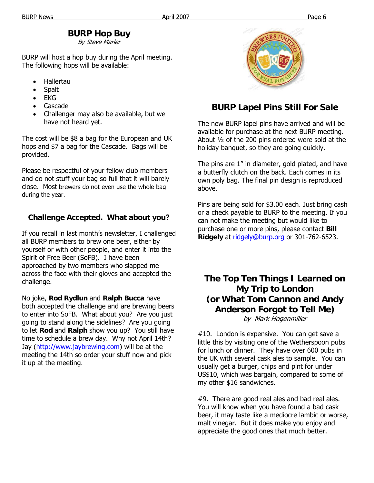## **BURP Hop Buy**

By Steve Marler

BURP will host a hop buy during the April meeting. The following hops will be available:

- Hallertau
- Spalt
- EKG
- Cascade
- Challenger may also be available, but we have not heard yet.

The cost will be \$8 a bag for the European and UK hops and \$7 a bag for the Cascade. Bags will be provided.

Please be respectful of your fellow club members and do not stuff your bag so full that it will barely close. Most brewers do not even use the whole bag during the year.

#### **Challenge Accepted. What about you?**

If you recall in last month's newsletter, I challenged all BURP members to brew one beer, either by yourself or with other people, and enter it into the Spirit of Free Beer (SoFB). I have been approached by two members who slapped me across the face with their gloves and accepted the challenge.

No joke, **Rod Rydlun** and **Ralph Bucca** have both accepted the challenge and are brewing beers to enter into SoFB. What about you? Are you just going to stand along the sidelines? Are you going to let **Rod** and **Ralph** show you up? You still have time to schedule a brew day. Why not April 14th? Jay (http://www.jaybrewing.com) will be at the meeting the 14th so order your stuff now and pick it up at the meeting.



## **BURP Lapel Pins Still For Sale**

The new BURP lapel pins have arrived and will be available for purchase at the next BURP meeting. About ½ of the 200 pins ordered were sold at the holiday banquet, so they are going quickly.

The pins are 1" in diameter, gold plated, and have a butterfly clutch on the back. Each comes in its own poly bag. The final pin design is reproduced above.

Pins are being sold for \$3.00 each. Just bring cash or a check payable to BURP to the meeting. If you can not make the meeting but would like to purchase one or more pins, please contact **Bill Ridgely** at ridgely@burp.org or 301-762-6523.

## **The Top Ten Things I Learned on My Trip to London (or What Tom Cannon and Andy Anderson Forgot to Tell Me)**

by Mark Hogenmiller

#10. London is expensive. You can get save a little this by visiting one of the Wetherspoon pubs for lunch or dinner. They have over 600 pubs in the UK with several cask ales to sample. You can usually get a burger, chips and pint for under US\$10, which was bargain, compared to some of my other \$16 sandwiches.

#9. There are good real ales and bad real ales. You will know when you have found a bad cask beer, it may taste like a mediocre lambic or worse, malt vinegar. But it does make you enjoy and appreciate the good ones that much better.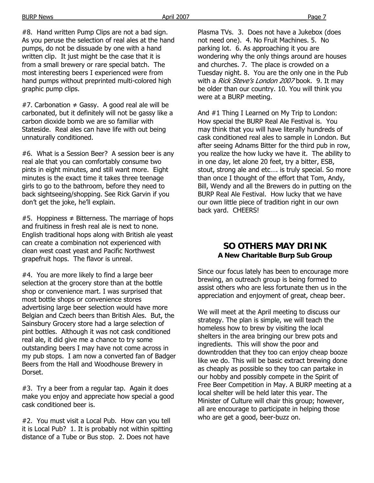#8. Hand written Pump Clips are not a bad sign. As you peruse the selection of real ales at the hand pumps, do not be dissuade by one with a hand written clip. It just might be the case that it is from a small brewery or rare special batch. The most interesting beers I experienced were from hand pumps without preprinted multi-colored high graphic pump clips.

#7. Carbonation  $\neq$  Gassy. A good real ale will be carbonated, but it definitely will not be gassy like a carbon dioxide bomb we are so familiar with Stateside. Real ales can have life with out being unnaturally conditioned.

#6. What is a Session Beer? A session beer is any real ale that you can comfortably consume two pints in eight minutes, and still want more. Eight minutes is the exact time it takes three teenage girls to go to the bathroom, before they need to back sightseeing/shopping. See Rick Garvin if you don't get the joke, he'll explain.

#5. Hoppiness  $\neq$  Bitterness. The marriage of hops and fruitiness in fresh real ale is next to none. English traditional hops along with British ale yeast can create a combination not experienced with clean west coast yeast and Pacific Northwest grapefruit hops. The flavor is unreal.

#4. You are more likely to find a large beer selection at the grocery store than at the bottle shop or convenience mart. I was surprised that most bottle shops or convenience stores advertising large beer selection would have more Belgian and Czech beers than British Ales. But, the Sainsbury Grocery store had a large selection of pint bottles. Although it was not cask conditioned real ale, it did give me a chance to try some outstanding beers I may have not come across in my pub stops. I am now a converted fan of Badger Beers from the Hall and Woodhouse Brewery in Dorset.

#3. Try a beer from a regular tap. Again it does make you enjoy and appreciate how special a good cask conditioned beer is.

#2. You must visit a Local Pub. How can you tell it is Local Pub? 1. It is probably not within spitting distance of a Tube or Bus stop. 2. Does not have

Plasma TVs. 3. Does not have a Jukebox (does not need one). 4. No Fruit Machines. 5. No parking lot. 6. As approaching it you are wondering why the only things around are houses and churches. 7. The place is crowded on a Tuesday night. 8. You are the only one in the Pub with a Rick Steve's London 2007 book. 9. It may be older than our country. 10. You will think you were at a BURP meeting.

And #1 Thing I Learned on My Trip to London: How special the BURP Real Ale Festival is. You may think that you will have literally hundreds of cask conditioned real ales to sample in London. But after seeing Adnams Bitter for the third pub in row, you realize the how lucky we have it. The ability to in one day, let alone 20 feet, try a bitter, ESB, stout, strong ale and etc…. is truly special. So more than once I thought of the effort that Tom, Andy, Bill, Wendy and all the Brewers do in putting on the BURP Real Ale Festival. How lucky that we have our own little piece of tradition right in our own back yard. CHEERS!

#### **SO OTHERS MAY DRINK A New Charitable Burp Sub Group**

Since our focus lately has been to encourage more brewing, an outreach group is being formed to assist others who are less fortunate then us in the appreciation and enjoyment of great, cheap beer.

We will meet at the April meeting to discuss our strategy. The plan is simple, we will teach the homeless how to brew by visiting the local shelters in the area bringing our brew pots and ingredients. This will show the poor and downtrodden that they too can enjoy cheap booze like we do. This will be basic extract brewing done as cheaply as possible so they too can partake in our hobby and possibly compete in the Spirit of Free Beer Competition in May. A BURP meeting at a local shelter will be held later this year. The Minister of Culture will chair this group; however, all are encourage to participate in helping those who are get a good, beer-buzz on.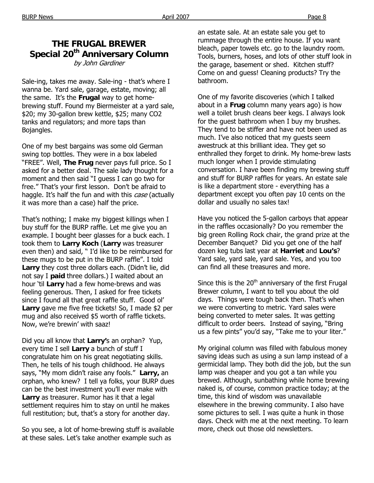### **THE FRUGAL BREWER Special 20th Anniversary Column**  by John Gardiner

Sale-ing, takes me away. Sale-ing - that's where I wanna be. Yard sale, garage, estate, moving; all the same. It's the **Frugal** way to get homebrewing stuff. Found my Biermeister at a yard sale, \$20; my 30-gallon brew kettle, \$25; many CO2 tanks and regulators; and more taps than Bojangles.

One of my best bargains was some old German swing top bottles. They were in a box labeled "FREE". Well, **The Frug** never pays full price. So I asked for a better deal. The sale lady thought for a moment and then said "I guess I can go two for free." That's your first lesson. Don't be afraid to haggle. It's half the fun and with this case (actually it was more than a case) half the price.

That's nothing; I make my biggest killings when I buy stuff for the BURP raffle. Let me give you an example. I bought beer glasses for a buck each. I took them to **Larry Koch** (**Larry** was treasurer even then) and said, " I'd like to be reimbursed for these mugs to be put in the BURP raffle". I told **Larry** they cost three dollars each. (Didn't lie, did not say I **paid** three dollars.) I waited about an hour 'til **Larry** had a few home-brews and was feeling generous. Then, I asked for free tickets since I found all that great raffle stuff. Good ol' **Larry** gave me five free tickets! So, I made \$2 per mug and also received \$5 worth of raffle tickets. Now, we're brewin' with saaz!

Did you all know that **Larry'**s an orphan? Yup, every time I sell **Larry** a bunch of stuff I congratulate him on his great negotiating skills. Then, he tells of his tough childhood. He always says, "My mom didn't raise any fools." **Larry,** an orphan, who knew? I tell ya folks, your BURP dues can be the best investment you'll ever make with **Larry** as treasurer. Rumor has it that a legal settlement requires him to stay on until he makes full restitution; but, that's a story for another day.

So you see, a lot of home-brewing stuff is available at these sales. Let's take another example such as

an estate sale. At an estate sale you get to rummage through the entire house. If you want bleach, paper towels etc. go to the laundry room. Tools, burners, hoses, and lots of other stuff look in the garage, basement or shed. Kitchen stuff? Come on and guess! Cleaning products? Try the bathroom.

One of my favorite discoveries (which I talked about in a **Frug** column many years ago) is how well a toilet brush cleans beer kegs. I always look for the guest bathroom when I buy my brushes. They tend to be stiffer and have not been used as much. I've also noticed that my guests seem awestruck at this brilliant idea. They get so enthralled they forget to drink. My home-brew lasts much longer when I provide stimulating conversation. I have been finding my brewing stuff and stuff for BURP raffles for years. An estate sale is like a department store - everything has a department except you often pay 10 cents on the dollar and usually no sales tax!

Have you noticed the 5-gallon carboys that appear in the raffles occasionally? Do you remember the big green Rolling Rock chair, the grand prize at the December Banquet? Did you get one of the half dozen keg tubs last year at **Harriet** and **Lou's**? Yard sale, yard sale, yard sale. Yes, and you too can find all these treasures and more.

Since this is the  $20<sup>th</sup>$  anniversary of the first Frugal Brewer column, I want to tell you about the old days. Things were tough back then. That's when we were converting to metric. Yard sales were being converted to meter sales. It was getting difficult to order beers. Instead of saying, "Bring us a few pints" you'd say, "Take me to your liter."

My original column was filled with fabulous money saving ideas such as using a sun lamp instead of a germicidal lamp. They both did the job, but the sun lamp was cheaper and you got a tan while you brewed. Although, sunbathing while home brewing naked is, of course, common practice today; at the time, this kind of wisdom was unavailable elsewhere in the brewing community. I also have some pictures to sell. I was quite a hunk in those days. Check with me at the next meeting. To learn more, check out those old newsletters.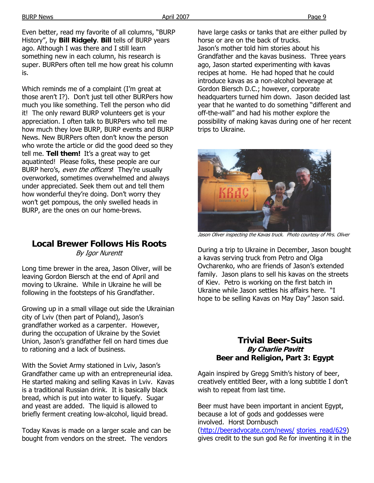Even better, read my favorite of all columns, "BURP History", by **Bill Ridgely**. **Bill** tells of BURP years ago. Although I was there and I still learn something new in each column, his research is super. BURPers often tell me how great his column is.

Which reminds me of a complaint (I'm great at those aren't I?). Don't just tell other BURPers how much you like something. Tell the person who did it! The only reward BURP volunteers get is your appreciation. I often talk to BURPers who tell me how much they love BURP, BURP events and BURP News. New BURPers often don't know the person who wrote the article or did the good deed so they tell me. **Tell them!** It's a great way to get aquatinted! Please folks, these people are our BURP hero's, even the officers! They're usually overworked, sometimes overwhelmed and always under appreciated. Seek them out and tell them how wonderful they're doing. Don't worry they won't get pompous, the only swelled heads in BURP, are the ones on our home-brews.

#### **Local Brewer Follows His Roots**  By Igor Nurentt

Long time brewer in the area, Jason Oliver, will be leaving Gordon Biersch at the end of April and moving to Ukraine. While in Ukraine he will be following in the footsteps of his Grandfather.

Growing up in a small village out side the Ukrainian city of Lviv (then part of Poland), Jason's grandfather worked as a carpenter. However, during the occupation of Ukraine by the Soviet Union, Jason's grandfather fell on hard times due to rationing and a lack of business.

With the Soviet Army stationed in Lviv, Jason's Grandfather came up with an entrepreneurial idea. He started making and selling Kavas in Lviv. Kavas is a traditional Russian drink. It is basically black bread, which is put into water to liquefy. Sugar and yeast are added. The liquid is allowed to briefly ferment creating low-alcohol, liquid bread.

Today Kavas is made on a larger scale and can be bought from vendors on the street. The vendors

have large casks or tanks that are either pulled by horse or are on the back of trucks. Jason's mother told him stories about his Grandfather and the kavas business. Three years ago, Jason started experimenting with kavas recipes at home. He had hoped that he could introduce kavas as a non-alcohol beverage at Gordon Biersch D.C.; however, corporate headquarters turned him down. Jason decided last year that he wanted to do something "different and off-the-wall" and had his mother explore the possibility of making kavas during one of her recent trips to Ukraine.



Jason Oliver inspecting the Kavas truck. Photo courtesy of Mrs. Oliver

During a trip to Ukraine in December, Jason bought a kavas serving truck from Petro and Olga Ovcharenko, who are friends of Jason's extended family. Jason plans to sell his kavas on the streets of Kiev. Petro is working on the first batch in Ukraine while Jason settles his affairs here. "I hope to be selling Kavas on May Day" Jason said.

#### **Trivial Beer-Suits By Charlie Pavitt Beer and Religion, Part 3: Egypt**

Again inspired by Gregg Smith's history of beer, creatively entitled Beer, with a long subtitle I don't wish to repeat from last time.

Beer must have been important in ancient Egypt, because a lot of gods and goddesses were involved. Horst Dornbusch (http://beeradvocate.com/news/ stories\_read/629)

gives credit to the sun god Re for inventing it in the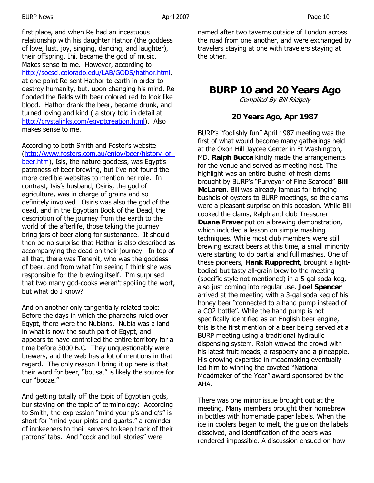first place, and when Re had an incestuous relationship with his daughter Hathor (the goddess of love, lust, joy, singing, dancing, and laughter), their offspring, Ihi, became the god of music. Makes sense to me. However, according to http://socsci.colorado.edu/LAB/GODS/hathor.html, at one point Re sent Hathor to earth in order to destroy humanity, but, upon changing his mind, Re flooded the fields with beer colored red to look like blood. Hathor drank the beer, became drunk, and turned loving and kind ( a story told in detail at http://crystalinks.com/egyptcreation.html). Also makes sense to me.

According to both Smith and Foster's website (http://www.fosters.com.au/enjoy/beer/history\_of\_ beer.htm), Isis, the nature goddess, was Egypt's patroness of beer brewing, but I've not found the more credible websites to mention her role. In contrast, Isis's husband, Osiris, the god of agriculture, was in charge of grains and so definitely involved. Osiris was also the god of the dead, and in the Egyptian Book of the Dead, the description of the journey from the earth to the world of the afterlife, those taking the journey bring jars of beer along for sustenance. It should then be no surprise that Hathor is also described as accompanying the dead on their journey. In top of all that, there was Tenenit, who was the goddess of beer, and from what I'm seeing I think she was responsible for the brewing itself. I'm surprised that two many god-cooks weren't spoiling the wort, but what do I know?

And on another only tangentially related topic: Before the days in which the pharaohs ruled over Egypt, there were the Nubians. Nubia was a land in what is now the south part of Egypt, and appears to have controlled the entire territory for a time before 3000 B.C. They unquestionably were brewers, and the web has a lot of mentions in that regard. The only reason I bring it up here is that their word for beer, "bousa," is likely the source for our "booze."

And getting totally off the topic of Egyptian gods, bur staying on the topic of terminology: According to Smith, the expression "mind your p's and q's" is short for "mind your pints and quarts," a reminder of innkeepers to their servers to keep track of their patrons' tabs. And "cock and bull stories" were

named after two taverns outside of London across the road from one another, and were exchanged by travelers staying at one with travelers staying at the other.

## **BURP 10 and 20 Years Ago**

Compiled By Bill Ridgely

#### **20 Years Ago, Apr 1987**

BURP's "foolishly fun" April 1987 meeting was the first of what would become many gatherings held at the Oxon Hill Jaycee Center in Ft Washington, MD. **Ralph Bucca** kindly made the arrangements for the venue and served as meeting host. The highlight was an entire bushel of fresh clams brought by BURP's "Purveyor of Fine Seafood" **Bill McLaren**. Bill was already famous for bringing bushels of oysters to BURP meetings, so the clams were a pleasant surprise on this occasion. While Bill cooked the clams, Ralph and club Treasurer **Duane Fraver** put on a brewing demonstration, which included a lesson on simple mashing techniques. While most club members were still brewing extract beers at this time, a small minority were starting to do partial and full mashes. One of these pioneers, **Hank Rupprecht**, brought a lightbodied but tasty all-grain brew to the meeting (specific style not mentioned) in a 5-gal soda keg, also just coming into regular use. **Joel Spencer**  arrived at the meeting with a 3-gal soda keg of his honey beer "connected to a hand pump instead of a CO2 bottle". While the hand pump is not specifically identified as an English beer engine, this is the first mention of a beer being served at a BURP meeting using a traditional hydraulic dispensing system. Ralph wowed the crowd with his latest fruit meads, a raspberry and a pineapple. His growing expertise in meadmaking eventually led him to winning the coveted "National Meadmaker of the Year" award sponsored by the AHA.

There was one minor issue brought out at the meeting. Many members brought their homebrew in bottles with homemade paper labels. When the ice in coolers began to melt, the glue on the labels dissolved, and identification of the beers was rendered impossible. A discussion ensued on how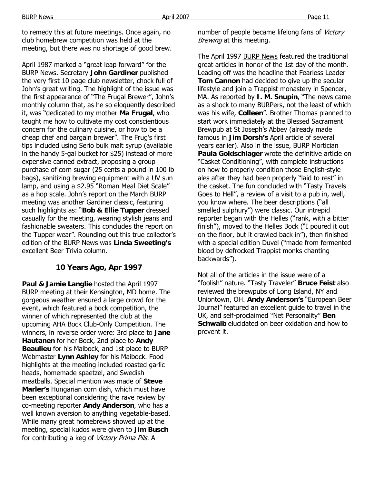BURP News Page 11

to remedy this at future meetings. Once again, no club homebrew competition was held at the meeting, but there was no shortage of good brew.

April 1987 marked a "great leap forward" for the BURP News. Secretary **John Gardiner** published the very first 10 page club newsletter, chock full of John's great writing. The highlight of the issue was the first appearance of "The Frugal Brewer", John's monthly column that, as he so eloquently described it, was "dedicated to my mother **Ma Frugal**, who taught me how to cultivate my cost conscientious concern for the culinary cuisine, or how to be a cheap chef and bargain brewer". The Frug's first tips included using Serio bulk malt syrup (available in the handy 5-gal bucket for \$25) instead of more expensive canned extract, proposing a group purchase of corn sugar (25 cents a pound in 100 lb bags), sanitizing brewing equipment with a UV sun lamp, and using a \$2.95 "Roman Meal Diet Scale" as a hop scale. John's report on the March BURP meeting was another Gardiner classic, featuring such highlights as: "**Bob & Ellie Tupper** dressed casually for the meeting, wearing stylish jeans and fashionable sweaters. This concludes the report on the Tupper wear". Rounding out this true collector's edition of the BURP News was **Linda Sweeting's** excellent Beer Trivia column.

#### **10 Years Ago, Apr 1997**

**Paul & Jamie Langlie** hosted the April 1997 BURP meeting at their Kensington, MD home. The gorgeous weather ensured a large crowd for the event, which featured a bock competition, the winner of which represented the club at the upcoming AHA Bock Club-Only Competition. The winners, in reverse order were: 3rd place to **Jane Hautanen** for her Bock, 2nd place to **Andy Beaulieu** for his Maibock, and 1st place to BURP Webmaster **Lynn Ashley** for his Maibock. Food highlights at the meeting included roasted garlic heads, homemade spaetzel, and Swedish meatballs. Special mention was made of **Steve Marler's** Hungarian corn dish, which must have been exceptional considering the rave review by co-meeting reporter **Andy Anderson**, who has a well known aversion to anything vegetable-based. While many great homebrews showed up at the meeting, special kudos were given to **Jim Busch** for contributing a keg of Victory Prima Pils. A

number of people became lifelong fans of *Victory* Brewing at this meeting.

The April 1997 BURP News featured the traditional great articles in honor of the 1st day of the month. Leading off was the headline that Fearless Leader **Tom Cannon** had decided to give up the secular lifestyle and join a Trappist monastery in Spencer, MA. As reported by **I. M. Snupin**, "The news came as a shock to many BURPers, not the least of which was his wife, **Colleen**". Brother Thomas planned to start work immediately at the Blessed Sacrament Brewpub at St Joseph's Abbey (already made famous in **Jim Dorsh's** April article of several years earlier). Also in the issue, BURP Mortician **Paula Goldschlager** wrote the definitive article on "Casket Conditioning", with complete instructions on how to properly condition those English-style ales after they had been properly "laid to rest" in the casket. The fun concluded with "Tasty Travels Goes to Hell", a review of a visit to a pub in, well, you know where. The beer descriptions ("all smelled sulphury") were classic. Our intrepid reporter began with the Helles ("rank, with a bitter finish"), moved to the Helles Bock ("I poured it out on the floor, but it crawled back in"), then finished with a special edition Duvel ("made from fermented blood by defrocked Trappist monks chanting backwards").

Not all of the articles in the issue were of a "foolish" nature. "Tasty Traveler" **Bruce Feist** also reviewed the brewpubs of Long Island, NY and Uniontown, OH. **Andy Anderson's** "European Beer Journal" featured an excellent guide to travel in the UK, and self-proclaimed "Net Personality" **Ben Schwalb** elucidated on beer oxidation and how to prevent it.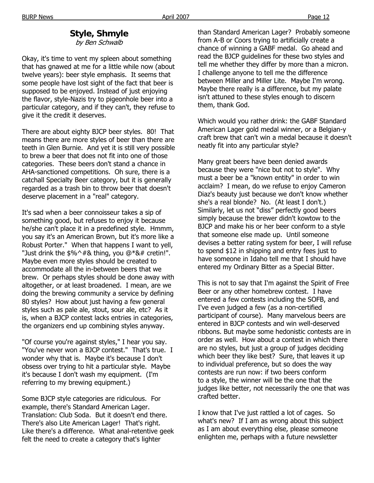#### **Style, Shmyle**

by Ben Schwalb

Okay, it's time to vent my spleen about something that has gnawed at me for a little while now (about twelve years): beer style emphasis. It seems that some people have lost sight of the fact that beer is supposed to be enjoyed. Instead of just enjoying the flavor, style-Nazis try to pigeonhole beer into a particular category, and if they can't, they refuse to give it the credit it deserves.

There are about eighty BJCP beer styles. 80! That means there are more styles of beer than there are teeth in Glen Burnie. And yet it is still very possible to brew a beer that does not fit into one of those categories. These beers don't stand a chance in AHA-sanctioned competitions. Oh sure, there is a catchall Specialty Beer category, but it is generally regarded as a trash bin to throw beer that doesn't deserve placement in a "real" category.

It's sad when a beer connoisseur takes a sip of something good, but refuses to enjoy it because he/she can't place it in a predefined style. Hmmm, you say it's an American Brown, but it's more like a Robust Porter." When that happens I want to yell, "Just drink the  $$%^+$$ & thing, you  $@*$ &# cretin!". Maybe even more styles should be created to accommodate all the in-between beers that we brew. Or perhaps styles should be done away with altogether, or at least broadened. I mean, are we doing the brewing community a service by defining 80 styles? How about just having a few general styles such as pale ale, stout, sour ale, etc? As it is, when a BJCP contest lacks entries in categories, the organizers end up combining styles anyway.

"Of course you're against styles," I hear you say. "You've never won a BJCP contest." That's true. I wonder why that is. Maybe it's because I don't obsess over trying to hit a particular style. Maybe it's because I don't wash my equipment. (I'm referring to my brewing equipment.)

Some BJCP style categories are ridiculous. For example, there's Standard American Lager. Translation: Club Soda. But it doesn't end there. There's also Lite American Lager! That's right. Like there's a difference. What anal-retentive geek felt the need to create a category that's lighter

than Standard American Lager? Probably someone from A-B or Coors trying to artificially create a chance of winning a GABF medal. Go ahead and read the BJCP guidelines for these two styles and tell me whether they differ by more than a micron. I challenge anyone to tell me the difference between Miller and Miller Lite. Maybe I'm wrong. Maybe there really is a difference, but my palate isn't attuned to these styles enough to discern them, thank God.

Which would you rather drink: the GABF Standard American Lager gold medal winner, or a Belgian-y craft brew that can't win a medal because it doesn't neatly fit into any particular style?

Many great beers have been denied awards because they were "nice but not to style". Why must a beer be a "known entity" in order to win acclaim? I mean, do we refuse to enjoy Cameron Diaz's beauty just because we don't know whether she's a real blonde? No. (At least I don't.) Similarly, let us not "diss" perfectly good beers simply because the brewer didn't kowtow to the BJCP and make his or her beer conform to a style that someone else made up. Until someone devises a better rating system for beer, I will refuse to spend \$12 in shipping and entry fees just to have someone in Idaho tell me that I should have entered my Ordinary Bitter as a Special Bitter.

This is not to say that I'm against the Spirit of Free Beer or any other homebrew contest. I have entered a few contests including the SOFB, and I've even judged a few (as a non-certified participant of course). Many marvelous beers are entered in BJCP contests and win well-deserved ribbons. But maybe some hedonistic contests are in order as well. How about a contest in which there are no styles, but just a group of judges deciding which beer they like best? Sure, that leaves it up to individual preference, but so does the way contests are run now: if two beers conform to a style, the winner will be the one that the judges like better, not necessarily the one that was crafted better.

I know that I've just rattled a lot of cages. So what's new? If I am as wrong about this subject as I am about everything else, please someone enlighten me, perhaps with a future newsletter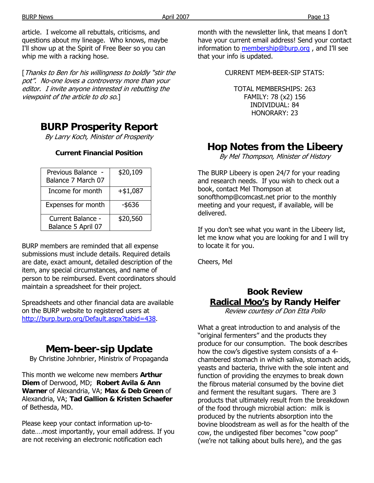article. I welcome all rebuttals, criticisms, and questions about my lineage. Who knows, maybe I'll show up at the Spirit of Free Beer so you can whip me with a racking hose.

[Thanks to Ben for his willingness to boldly "stir the pot". No-one loves a controversy more than your editor. I invite anyone interested in rebutting the viewpoint of the article to do so.]

## **BURP Prosperity Report**

By Larry Koch, Minister of Prosperity

### **Current Financial Position**

| Previous Balance -<br>Balance 7 March 07 | \$20,109   |
|------------------------------------------|------------|
| Income for month                         | $+ $1,087$ |
| <b>Expenses for month</b>                | -\$636     |
| Current Balance -<br>Balance 5 April 07  | \$20,560   |

BURP members are reminded that all expense submissions must include details. Required details are date, exact amount, detailed description of the item, any special circumstances, and name of person to be reimbursed. Event coordinators should maintain a spreadsheet for their project.

Spreadsheets and other financial data are available on the BURP website to registered users at http://burp.burp.org/Default.aspx?tabid=438.

## **Mem-beer-sip Update**

By Christine Johnbrier, Ministrix of Propaganda

This month we welcome new members **Arthur Diem** of Derwood, MD; **Robert Avila & Ann Warner** of Alexandria, VA; **Max & Deb Green** of Alexandria, VA; **Tad Gallion & Kristen Schaefer** of Bethesda, MD.

Please keep your contact information up-todate….most importantly, your email address. If you are not receiving an electronic notification each

month with the newsletter link, that means I don't have your current email address! Send your contact information to membership@burp.org, and I'll see that your info is updated.

CURRENT MEM-BEER-SIP STATS:

TOTAL MEMBERSHIPS: 263 FAMILY: 78 (x2) 156 INDIVIDUAL: 84 HONORARY: 23

## **Hop Notes from the Libeery**

By Mel Thompson, Minister of History

The BURP Libeery is open 24/7 for your reading and research needs. If you wish to check out a book, contact Mel Thompson at sonofthomp@comcast.net prior to the monthly meeting and your request, if available, will be delivered.

If you don't see what you want in the Libeery list, let me know what you are looking for and I will try to locate it for you.

Cheers, Mel

## **Book Review Radical Moo's by Randy Heifer**

Review courtesy of Don Etta Pollo

What a great introduction to and analysis of the "original fermenters" and the products they produce for our consumption. The book describes how the cow's digestive system consists of a 4 chambered stomach in which saliva, stomach acids, yeasts and bacteria, thrive with the sole intent and function of providing the enzymes to break down the fibrous material consumed by the bovine diet and ferment the resultant sugars. There are 3 products that ultimately result from the breakdown of the food through microbial action: milk is produced by the nutrients absorption into the bovine bloodstream as well as for the health of the cow, the undigested fiber becomes "cow poop" (we're not talking about bulls here), and the gas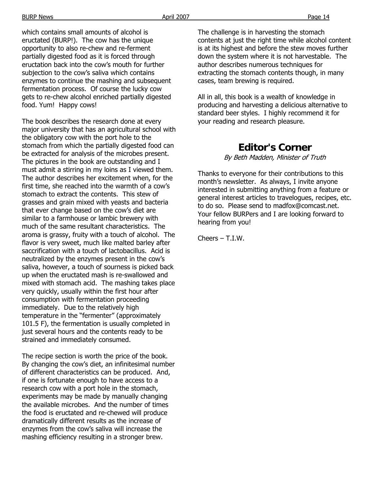which contains small amounts of alcohol is eructated (BURP!). The cow has the unique opportunity to also re-chew and re-ferment partially digested food as it is forced through eructation back into the cow's mouth for further subjection to the cow's saliva which contains enzymes to continue the mashing and subsequent fermentation process. Of course the lucky cow gets to re-chew alcohol enriched partially digested food. Yum! Happy cows!

The book describes the research done at every major university that has an agricultural school with the obligatory cow with the port hole to the stomach from which the partially digested food can be extracted for analysis of the microbes present. The pictures in the book are outstanding and I must admit a stirring in my loins as I viewed them. The author describes her excitement when, for the first time, she reached into the warmth of a cow's stomach to extract the contents. This stew of grasses and grain mixed with yeasts and bacteria that ever change based on the cow's diet are similar to a farmhouse or lambic brewery with much of the same resultant characteristics. The aroma is grassy, fruity with a touch of alcohol. The flavor is very sweet, much like malted barley after saccrification with a touch of lactobacillus. Acid is neutralized by the enzymes present in the cow's saliva, however, a touch of sourness is picked back up when the eructated mash is re-swallowed and mixed with stomach acid. The mashing takes place very quickly, usually within the first hour after consumption with fermentation proceeding immediately. Due to the relatively high temperature in the "fermenter" (approximately 101.5 F), the fermentation is usually completed in just several hours and the contents ready to be strained and immediately consumed.

The recipe section is worth the price of the book. By changing the cow's diet, an infinitesimal number of different characteristics can be produced. And, if one is fortunate enough to have access to a research cow with a port hole in the stomach, experiments may be made by manually changing the available microbes. And the number of times the food is eructated and re-chewed will produce dramatically different results as the increase of enzymes from the cow's saliva will increase the mashing efficiency resulting in a stronger brew.

The challenge is in harvesting the stomach contents at just the right time while alcohol content is at its highest and before the stew moves further down the system where it is not harvestable. The author describes numerous techniques for extracting the stomach contents though, in many cases, team brewing is required.

All in all, this book is a wealth of knowledge in producing and harvesting a delicious alternative to standard beer styles. I highly recommend it for your reading and research pleasure.

## **Editor's Corner**

By Beth Madden, Minister of Truth

Thanks to everyone for their contributions to this month's newsletter. As always, I invite anyone interested in submitting anything from a feature or general interest articles to travelogues, recipes, etc. to do so. Please send to madfox@comcast.net. Your fellow BURPers and I are looking forward to hearing from you!

Cheers – T.I.W.